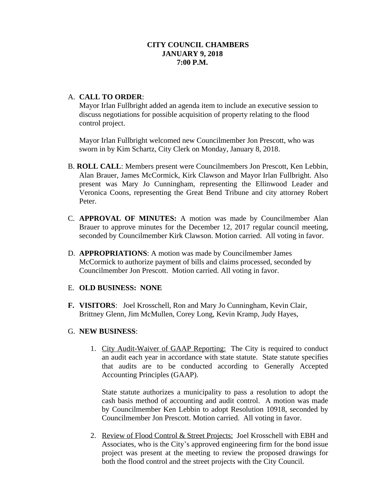## A. **CALL TO ORDER**:

Mayor Irlan Fullbright added an agenda item to include an executive session to discuss negotiations for possible acquisition of property relating to the flood control project.

Mayor Irlan Fullbright welcomed new Councilmember Jon Prescott, who was sworn in by Kim Schartz, City Clerk on Monday, January 8, 2018.

- B. **ROLL CALL**: Members present were Councilmembers Jon Prescott, Ken Lebbin, Alan Brauer, James McCormick, Kirk Clawson and Mayor Irlan Fullbright. Also present was Mary Jo Cunningham, representing the Ellinwood Leader and Veronica Coons, representing the Great Bend Tribune and city attorney Robert Peter.
- C. **APPROVAL OF MINUTES:** A motion was made by Councilmember Alan Brauer to approve minutes for the December 12, 2017 regular council meeting, seconded by Councilmember Kirk Clawson. Motion carried. All voting in favor.
- D. **APPROPRIATIONS**: A motion was made by Councilmember James McCormick to authorize payment of bills and claims processed, seconded by Councilmember Jon Prescott. Motion carried. All voting in favor.

#### E. **OLD BUSINESS: NONE**

**F. VISITORS**: Joel Krosschell, Ron and Mary Jo Cunningham, Kevin Clair, Brittney Glenn, Jim McMullen, Corey Long, Kevin Kramp, Judy Hayes,

## G. **NEW BUSINESS**:

1. City Audit-Waiver of GAAP Reporting: The City is required to conduct an audit each year in accordance with state statute. State statute specifies that audits are to be conducted according to Generally Accepted Accounting Principles (GAAP).

State statute authorizes a municipality to pass a resolution to adopt the cash basis method of accounting and audit control. A motion was made by Councilmember Ken Lebbin to adopt Resolution 10918, seconded by Councilmember Jon Prescott. Motion carried. All voting in favor.

2. Review of Flood Control & Street Projects: Joel Krosschell with EBH and Associates, who is the City's approved engineering firm for the bond issue project was present at the meeting to review the proposed drawings for both the flood control and the street projects with the City Council.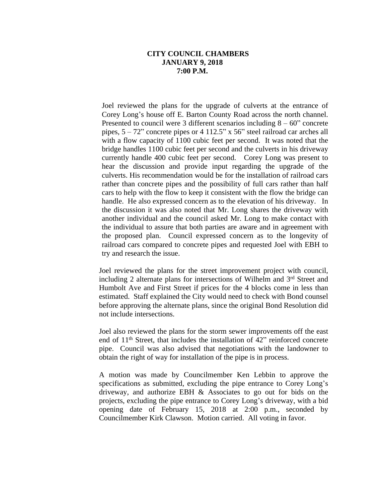Joel reviewed the plans for the upgrade of culverts at the entrance of Corey Long's house off E. Barton County Road across the north channel. Presented to council were 3 different scenarios including  $8 - 60$ " concrete pipes, 5 – 72" concrete pipes or 4 112.5" x 56" steel railroad car arches all with a flow capacity of 1100 cubic feet per second. It was noted that the bridge handles 1100 cubic feet per second and the culverts in his driveway currently handle 400 cubic feet per second. Corey Long was present to hear the discussion and provide input regarding the upgrade of the culverts. His recommendation would be for the installation of railroad cars rather than concrete pipes and the possibility of full cars rather than half cars to help with the flow to keep it consistent with the flow the bridge can handle. He also expressed concern as to the elevation of his driveway. In the discussion it was also noted that Mr. Long shares the driveway with another individual and the council asked Mr. Long to make contact with the individual to assure that both parties are aware and in agreement with the proposed plan. Council expressed concern as to the longevity of railroad cars compared to concrete pipes and requested Joel with EBH to try and research the issue.

Joel reviewed the plans for the street improvement project with council, including 2 alternate plans for intersections of Wilhelm and 3<sup>rd</sup> Street and Humbolt Ave and First Street if prices for the 4 blocks come in less than estimated. Staff explained the City would need to check with Bond counsel before approving the alternate plans, since the original Bond Resolution did not include intersections.

Joel also reviewed the plans for the storm sewer improvements off the east end of 11th Street, that includes the installation of 42" reinforced concrete pipe. Council was also advised that negotiations with the landowner to obtain the right of way for installation of the pipe is in process.

A motion was made by Councilmember Ken Lebbin to approve the specifications as submitted, excluding the pipe entrance to Corey Long's driveway, and authorize EBH & Associates to go out for bids on the projects, excluding the pipe entrance to Corey Long's driveway, with a bid opening date of February 15, 2018 at 2:00 p.m., seconded by Councilmember Kirk Clawson. Motion carried. All voting in favor.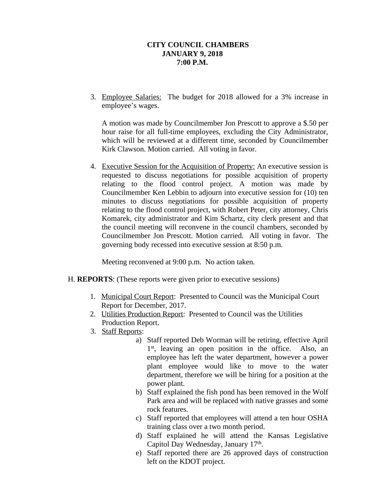3. Employee Salaries: The budget for 2018 allowed for a 3% increase in employee's wages.

A motion was made by Councilmember Jon Prescott to approve a \$.50 per hour raise for all full-time employees, excluding the City Administrator, which will be reviewed at a different time, seconded by Councilmember Kirk Clawson. Motion carried. All voting in favor.

4. Executive Session for the Acquisition of Property: An executive session is requested to discuss negotiations for possible acquisition of property relating to the flood control project. A motion was made by Councilmember Ken Lebbin to adjourn into executive session for (10) ten minutes to discuss negotiations for possible acquisition of property relating to the flood control project, with Robert Peter, city attorney, Chris Komarek, city administrator and Kim Schartz, city clerk present and that the council meeting will reconvene in the council chambers, seconded by Councilmember Jon Prescott. Motion carried. All voting in favor. The governing body recessed into executive session at 8:50 p.m.

Meeting reconvened at 9:00 p.m. No action taken.

- H. **REPORTS**: (These reports were given prior to executive sessions)
	- 1. Municipal Court Report: Presented to Council was the Municipal Court Report for December, 2017.
	- 2. Utilities Production Report: Presented to Council was the Utilities Production Report.
	- 3. Staff Reports:
		- a) Staff reported Deb Worman will be retiring, effective April 1<sup>st</sup>, leaving an open position in the office. Also, an employee has left the water department, however a power plant employee would like to move to the water department, therefore we will be hiring for a position at the power plant.
		- b) Staff explained the fish pond has been removed in the Wolf Park area and will be replaced with native grasses and some rock features.
		- c) Staff reported that employees will attend a ten hour OSHA training class over a two month period.
		- d) Staff explained he will attend the Kansas Legislative Capitol Day Wednesday, January 17th.
		- e) Staff reported there are 26 approved days of construction left on the KDOT project.